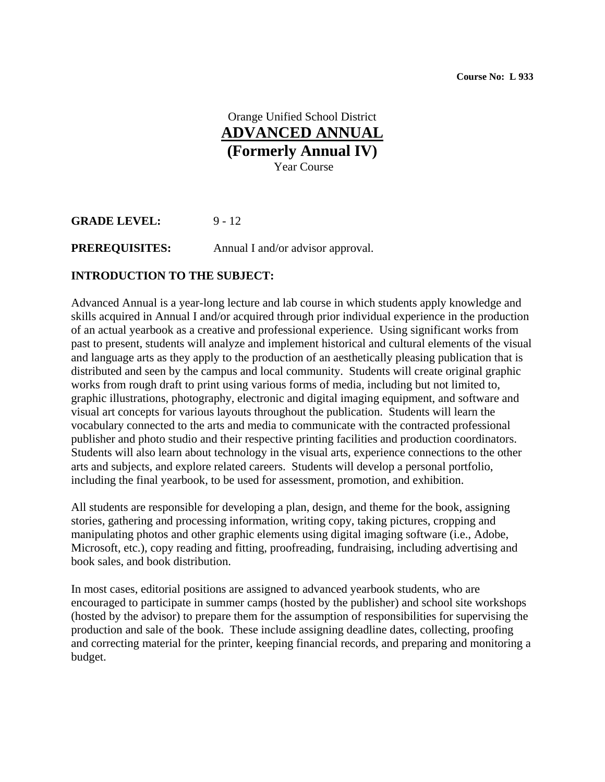Orange Unified School District **ADVANCED ANNUAL (Formerly Annual IV)**  Year Course

**GRADE LEVEL:** 9 - 12

**PREREQUISITES:** Annual I and/or advisor approval.

#### **INTRODUCTION TO THE SUBJECT:**

Advanced Annual is a year-long lecture and lab course in which students apply knowledge and skills acquired in Annual I and/or acquired through prior individual experience in the production of an actual yearbook as a creative and professional experience. Using significant works from past to present, students will analyze and implement historical and cultural elements of the visual and language arts as they apply to the production of an aesthetically pleasing publication that is distributed and seen by the campus and local community. Students will create original graphic works from rough draft to print using various forms of media, including but not limited to, graphic illustrations, photography, electronic and digital imaging equipment, and software and visual art concepts for various layouts throughout the publication. Students will learn the vocabulary connected to the arts and media to communicate with the contracted professional publisher and photo studio and their respective printing facilities and production coordinators. Students will also learn about technology in the visual arts, experience connections to the other arts and subjects, and explore related careers. Students will develop a personal portfolio, including the final yearbook, to be used for assessment, promotion, and exhibition.

All students are responsible for developing a plan, design, and theme for the book, assigning stories, gathering and processing information, writing copy, taking pictures, cropping and manipulating photos and other graphic elements using digital imaging software (i.e., Adobe, Microsoft, etc.), copy reading and fitting, proofreading, fundraising, including advertising and book sales, and book distribution.

In most cases, editorial positions are assigned to advanced yearbook students, who are encouraged to participate in summer camps (hosted by the publisher) and school site workshops (hosted by the advisor) to prepare them for the assumption of responsibilities for supervising the production and sale of the book. These include assigning deadline dates, collecting, proofing and correcting material for the printer, keeping financial records, and preparing and monitoring a budget.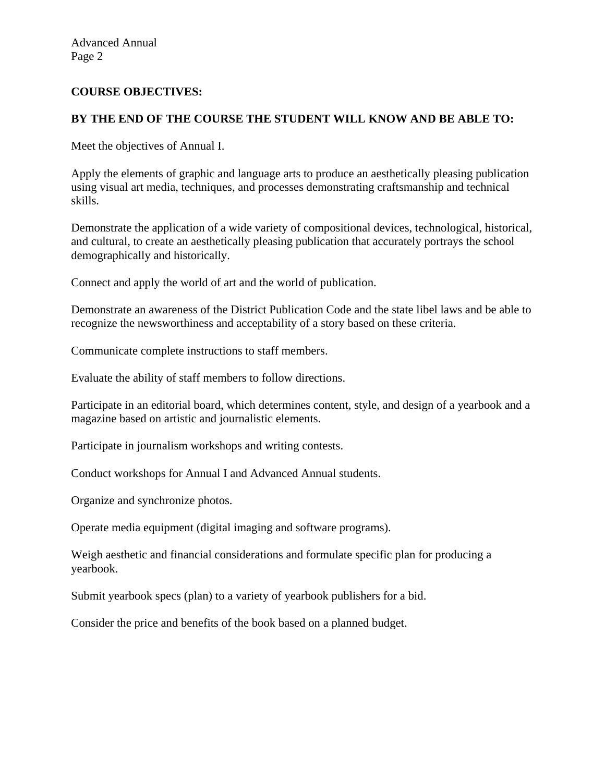### **COURSE OBJECTIVES:**

## **BY THE END OF THE COURSE THE STUDENT WILL KNOW AND BE ABLE TO:**

Meet the objectives of Annual I.

Apply the elements of graphic and language arts to produce an aesthetically pleasing publication using visual art media, techniques, and processes demonstrating craftsmanship and technical skills.

Demonstrate the application of a wide variety of compositional devices, technological, historical, and cultural, to create an aesthetically pleasing publication that accurately portrays the school demographically and historically.

Connect and apply the world of art and the world of publication.

Demonstrate an awareness of the District Publication Code and the state libel laws and be able to recognize the newsworthiness and acceptability of a story based on these criteria.

Communicate complete instructions to staff members.

Evaluate the ability of staff members to follow directions.

Participate in an editorial board, which determines content, style, and design of a yearbook and a magazine based on artistic and journalistic elements.

Participate in journalism workshops and writing contests.

Conduct workshops for Annual I and Advanced Annual students.

Organize and synchronize photos.

Operate media equipment (digital imaging and software programs).

Weigh aesthetic and financial considerations and formulate specific plan for producing a yearbook.

Submit yearbook specs (plan) to a variety of yearbook publishers for a bid.

Consider the price and benefits of the book based on a planned budget.